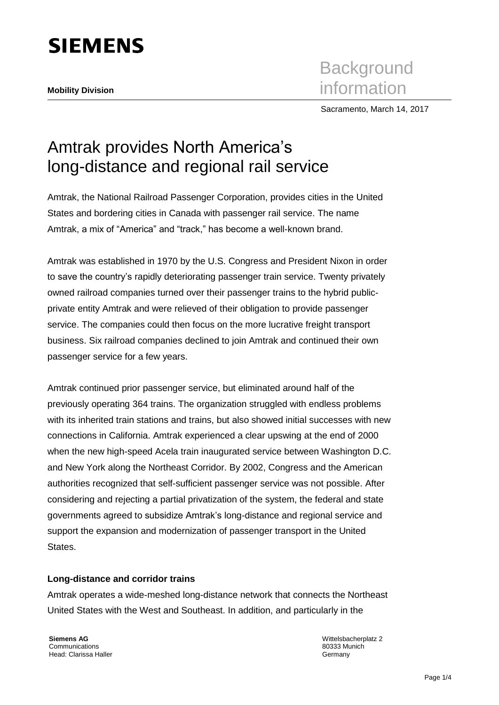

Sacramento, March 14, 2017

# Amtrak provides North America's long-distance and regional rail service

Amtrak, the National Railroad Passenger Corporation, provides cities in the United States and bordering cities in Canada with passenger rail service. The name Amtrak, a mix of "America" and "track," has become a well-known brand.

Amtrak was established in 1970 by the U.S. Congress and President Nixon in order to save the country's rapidly deteriorating passenger train service. Twenty privately owned railroad companies turned over their passenger trains to the hybrid publicprivate entity Amtrak and were relieved of their obligation to provide passenger service. The companies could then focus on the more lucrative freight transport business. Six railroad companies declined to join Amtrak and continued their own passenger service for a few years.

Amtrak continued prior passenger service, but eliminated around half of the previously operating 364 trains. The organization struggled with endless problems with its inherited train stations and trains, but also showed initial successes with new connections in California. Amtrak experienced a clear upswing at the end of 2000 when the new high-speed Acela train inaugurated service between Washington D.C. and New York along the Northeast Corridor. By 2002, Congress and the American authorities recognized that self-sufficient passenger service was not possible. After considering and rejecting a partial privatization of the system, the federal and state governments agreed to subsidize Amtrak's long-distance and regional service and support the expansion and modernization of passenger transport in the United States.

# **Long-distance and corridor trains**

Amtrak operates a wide-meshed long-distance network that connects the Northeast United States with the West and Southeast. In addition, and particularly in the

**Siemens AG** Communications Head: Clarissa Haller Wittelsbacherplatz 2 80333 Munich Germany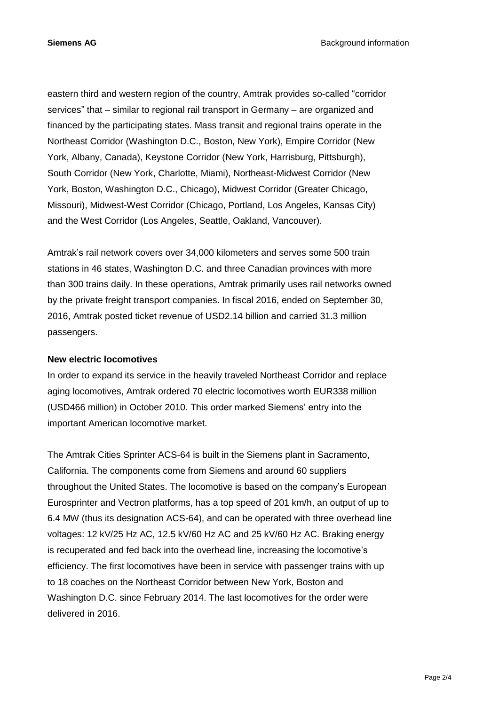eastern third and western region of the country, Amtrak provides so-called "corridor services" that – similar to regional rail transport in Germany – are organized and financed by the participating states. Mass transit and regional trains operate in the Northeast Corridor (Washington D.C., Boston, New York), Empire Corridor (New York, Albany, Canada), Keystone Corridor (New York, Harrisburg, Pittsburgh), South Corridor (New York, Charlotte, Miami), Northeast-Midwest Corridor (New York, Boston, Washington D.C., Chicago), Midwest Corridor (Greater Chicago, Missouri), Midwest-West Corridor (Chicago, Portland, Los Angeles, Kansas City) and the West Corridor (Los Angeles, Seattle, Oakland, Vancouver).

Amtrak's rail network covers over 34,000 kilometers and serves some 500 train stations in 46 states, Washington D.C. and three Canadian provinces with more than 300 trains daily. In these operations, Amtrak primarily uses rail networks owned by the private freight transport companies. In fiscal 2016, ended on September 30, 2016, Amtrak posted ticket revenue of USD2.14 billion and carried 31.3 million passengers.

#### **New electric locomotives**

In order to expand its service in the heavily traveled Northeast Corridor and replace aging locomotives, Amtrak ordered 70 electric locomotives worth EUR338 million (USD466 million) in October 2010. This order marked Siemens' entry into the important American locomotive market.

The Amtrak Cities Sprinter ACS-64 is built in the Siemens plant in Sacramento, California. The components come from Siemens and around 60 suppliers throughout the United States. The locomotive is based on the company's European Eurosprinter and Vectron platforms, has a top speed of 201 km/h, an output of up to 6.4 MW (thus its designation ACS-64), and can be operated with three overhead line voltages: 12 kV/25 Hz AC, 12.5 kV/60 Hz AC and 25 kV/60 Hz AC. Braking energy is recuperated and fed back into the overhead line, increasing the locomotive's efficiency. The first locomotives have been in service with passenger trains with up to 18 coaches on the Northeast Corridor between New York, Boston and Washington D.C. since February 2014. The last locomotives for the order were delivered in 2016.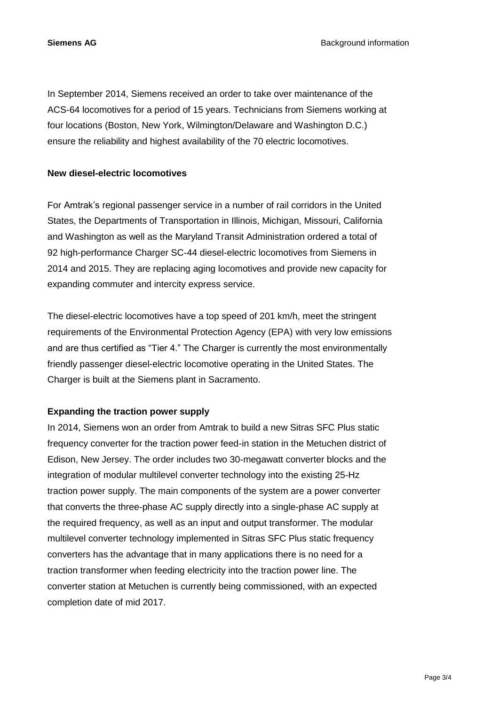**Siemens AG** Background information

In September 2014, Siemens received an order to take over maintenance of the ACS-64 locomotives for a period of 15 years. Technicians from Siemens working at four locations (Boston, New York, Wilmington/Delaware and Washington D.C.) ensure the reliability and highest availability of the 70 electric locomotives.

### **New diesel-electric locomotives**

For Amtrak's regional passenger service in a number of rail corridors in the United States, the Departments of Transportation in Illinois, Michigan, Missouri, California and Washington as well as the Maryland Transit Administration ordered a total of 92 high-performance Charger SC-44 diesel-electric locomotives from Siemens in 2014 and 2015. They are replacing aging locomotives and provide new capacity for expanding commuter and intercity express service.

The diesel-electric locomotives have a top speed of 201 km/h, meet the stringent requirements of the Environmental Protection Agency (EPA) with very low emissions and are thus certified as "Tier 4." The Charger is currently the most environmentally friendly passenger diesel-electric locomotive operating in the United States. The Charger is built at the Siemens plant in Sacramento.

# **Expanding the traction power supply**

In 2014, Siemens won an order from Amtrak to build a new Sitras SFC Plus static frequency converter for the traction power feed-in station in the Metuchen district of Edison, New Jersey. The order includes two 30-megawatt converter blocks and the integration of modular multilevel converter technology into the existing 25-Hz traction power supply. The main components of the system are a power converter that converts the three-phase AC supply directly into a single-phase AC supply at the required frequency, as well as an input and output transformer. The modular multilevel converter technology implemented in Sitras SFC Plus static frequency converters has the advantage that in many applications there is no need for a traction transformer when feeding electricity into the traction power line. The converter station at Metuchen is currently being commissioned, with an expected completion date of mid 2017.